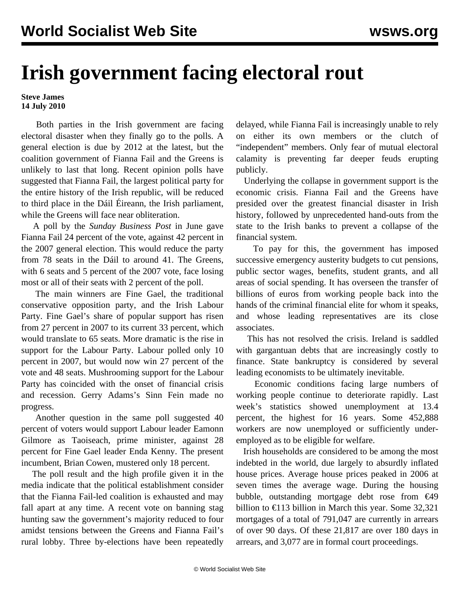## **Irish government facing electoral rout**

## **Steve James 14 July 2010**

 Both parties in the Irish government are facing electoral disaster when they finally go to the polls. A general election is due by 2012 at the latest, but the coalition government of Fianna Fail and the Greens is unlikely to last that long. Recent opinion polls have suggested that Fianna Fail, the largest political party for the entire history of the Irish republic, will be reduced to third place in the Dáil Éireann, the Irish parliament, while the Greens will face near obliteration.

 A poll by the *Sunday Business Post* in June gave Fianna Fail 24 percent of the vote, against 42 percent in the 2007 general election. This would reduce the party from 78 seats in the Dáil to around 41. The Greens, with 6 seats and 5 percent of the 2007 vote, face losing most or all of their seats with 2 percent of the poll.

 The main winners are Fine Gael, the traditional conservative opposition party, and the Irish Labour Party. Fine Gael's share of popular support has risen from 27 percent in 2007 to its current 33 percent, which would translate to 65 seats. More dramatic is the rise in support for the Labour Party. Labour polled only 10 percent in 2007, but would now win 27 percent of the vote and 48 seats. Mushrooming support for the Labour Party has coincided with the onset of financial crisis and recession. Gerry Adams's Sinn Fein made no progress.

 Another question in the same poll suggested 40 percent of voters would support Labour leader Eamonn Gilmore as Taoiseach, prime minister, against 28 percent for Fine Gael leader Enda Kenny. The present incumbent, Brian Cowen, mustered only 18 percent.

 The poll result and the high profile given it in the media indicate that the political establishment consider that the Fianna Fail-led coalition is exhausted and may fall apart at any time. A recent vote on banning stag hunting saw the government's majority reduced to four amidst tensions between the Greens and Fianna Fail's rural lobby. Three by-elections have been repeatedly delayed, while Fianna Fail is increasingly unable to rely on either its own members or the clutch of "independent" members. Only fear of mutual electoral calamity is preventing far deeper feuds erupting publicly.

 Underlying the collapse in government support is the economic crisis. Fianna Fail and the Greens have presided over the greatest financial disaster in Irish history, followed by unprecedented hand-outs from the state to the Irish banks to prevent a collapse of the financial system.

 To pay for this, the government has imposed successive emergency austerity budgets to cut pensions, public sector wages, benefits, student grants, and all areas of social spending. It has overseen the transfer of billions of euros from working people back into the hands of the criminal financial elite for whom it speaks, and whose leading representatives are its close associates.

 This has not resolved the crisis. Ireland is saddled with gargantuan debts that are increasingly costly to finance. State bankruptcy is considered by several leading economists to be ultimately inevitable.

 Economic conditions facing large numbers of working people continue to deteriorate rapidly. Last week's statistics showed unemployment at 13.4 percent, the highest for 16 years. Some 452,888 workers are now unemployed or sufficiently underemployed as to be eligible for welfare.

 Irish households are considered to be among the most indebted in the world, due largely to absurdly inflated house prices. Average house prices peaked in 2006 at seven times the average wage. During the housing bubble, outstanding mortgage debt rose from  $\epsilon$ 49 billion to €113 billion in March this year. Some 32,321 mortgages of a total of 791,047 are currently in arrears of over 90 days. Of these 21,817 are over 180 days in arrears, and 3,077 are in formal court proceedings.